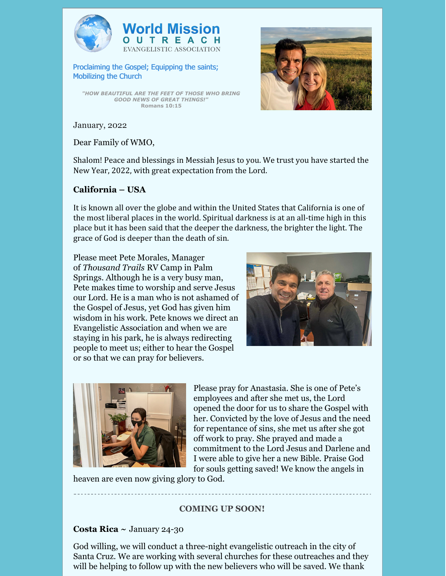



Proclaiming the Gospel; Equipping the saints; Mobilizing the Church

*"HOW BEAUTIFUL ARE THE FEET OF THOSE WHO BRING GOOD NEWS OF GREAT THINGS!"* **Romans 10:15**



January, 2022

Dear Family of WMO,

Shalom! Peace and blessings in Messiah Jesus to you. We trust you have started the New Year, 2022, with great expectation from the Lord.

# **California – USA**

It is known all over the globe and within the United States that California is one of the most liberal places in the world. Spiritual darkness is at an all-time high in this place but it has been said that the deeper the darkness, the brighter the light. The grace of God is deeper than the death of sin.

Please meet Pete Morales, Manager of *Thousand Trails* RV Camp in Palm Springs. Although he is a very busy man, Pete makes time to worship and serve Jesus our Lord. He is a man who is not ashamed of the Gospel of Jesus, yet God has given him wisdom in his work. Pete knows we direct an Evangelistic Association and when we are staying in his park, he is always redirecting people to meet us; either to hear the Gospel or so that we can pray for believers.





Please pray for Anastasia. She is one of Pete's employees and after she met us, the Lord opened the door for us to share the Gospel with her. Convicted by the love of Jesus and the need for repentance of sins, she met us after she got off work to pray. She prayed and made a commitment to the Lord Jesus and Darlene and I were able to give her a new Bible. Praise God for souls getting saved! We know the angels in

heaven are even now giving glory to God.

# **COMING UP SOON!**

# **Costa Rica ~** January 24-30

God willing, we will conduct a three-night evangelistic outreach in the city of Santa Cruz. We are working with several churches for these outreaches and they will be helping to follow up with the new believers who will be saved. We thank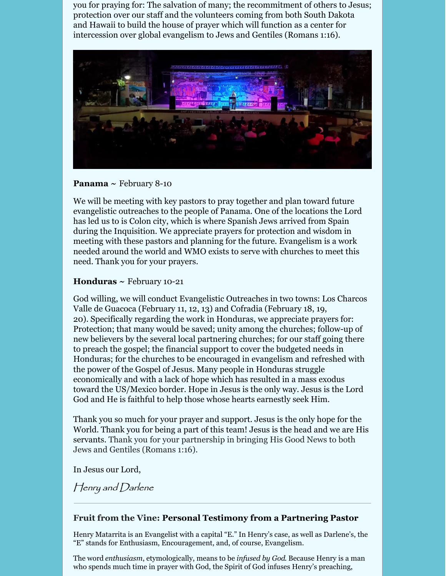you for praying for: The salvation of many; the recommitment of others to Jesus; protection over our staff and the volunteers coming from both South Dakota and Hawaii to build the house of prayer which will function as a center for intercession over global evangelism to Jews and Gentiles (Romans 1:16).



## **Panama ~** February 8-10

We will be meeting with key pastors to pray together and plan toward future evangelistic outreaches to the people of Panama. One of the locations the Lord has led us to is Colon city, which is where Spanish Jews arrived from Spain during the Inquisition. We appreciate prayers for protection and wisdom in meeting with these pastors and planning for the future. Evangelism is a work needed around the world and WMO exists to serve with churches to meet this need. Thank you for your prayers.

#### **Honduras ~** February 10-21

God willing, we will conduct Evangelistic Outreaches in two towns: Los Charcos Valle de Guacoca (February 11, 12, 13) and Cofradia (February 18, 19, 20). Specifically regarding the work in Honduras, we appreciate prayers for: Protection; that many would be saved; unity among the churches; follow-up of new believers by the several local partnering churches; for our staff going there to preach the gospel; the financial support to cover the budgeted needs in Honduras; for the churches to be encouraged in evangelism and refreshed with the power of the Gospel of Jesus. Many people in Honduras struggle economically and with a lack of hope which has resulted in a mass exodus toward the US/Mexico border. Hope in Jesus is the only way. Jesus is the Lord God and He is faithful to help those whose hearts earnestly seek Him.

Thank you so much for your prayer and support. Jesus is the only hope for the World. Thank you for being a part of this team! Jesus is the head and we are His servants. Thank you for your partnership in bringing His Good News to both Jews and Gentiles (Romans 1:16).

In Jesus our Lord,

Henry and Darlene

## **Fruit from the Vine: Personal Testimony from a Partnering Pastor**

Henry Matarrita is an Evangelist with a capital "E." In Henry's case, as well as Darlene's, the "E" stands for Enthusiasm, Encouragement, and, of course, Evangelism.

The word *enthusiasm*, etymologically, means to be *infused by God*. Because Henry is a man who spends much time in prayer with God, the Spirit of God infuses Henry's preaching,